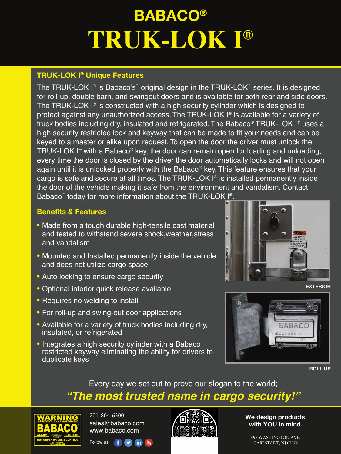# **BABACO® TRUK-LOK I®**

## **TRUK-LOK I® Unique Features**

The TRUK-LOK I® is Babaco's® original design in the TRUK-LOK® series. It is designed for roll-up, double barn, and swingout doors and is available for both rear and side doors. The TRUK-LOK I® is constructed with a high security cylinder which is designed to protect against any unauthorized access. The TRUK-LOK I® is available for a variety of truck bodies including dry, insulated and refrigerated. The Babaco® TRUK-LOK I® uses a high security restricted lock and keyway that can be made to fit your needs and can be keyed to a master or alike upon request. To open the door the driver must unlock the TRUK-LOK I® with a Babaco® key, the door can remain open for loading and unloading, every time the door is closed by the driver the door automatically locks and will not open again until it is unlocked properly with the Babaco® key. This feature ensures that your cargo is safe and secure at all times. The TRUK-LOK I® is installed permanently inside the door of the vehicle making it safe from the environment and vandalism. Contact Babaco® today for more information about the TRUK-LOK <u>I®.</u>

## **Benefits & Features**

- Made from a tough durable high-tensile cast material and tested to withstand severe shock,weather,stress and vandalism
- Mounted and Installed permanently inside the vehicle and does not utilize cargo space
- Auto locking to ensure cargo security
- Optional interior quick release available
- Requires no welding to install
- For roll-up and swing-out door applications
- Available for a variety of truck bodies including dry, insulated, or refrigerated
- Integrates a high security cylinder with a Babaco restricted keyway eliminating the ability for drivers to duplicate keys







**ROLL UP**

## Every day we set out to prove our slogan to the world; *"The most trusted name in cargo security!"*



201-804-6300 sales@babaco.com www.babaco.com



**We design products with YOU in mind.**

497 WASHINGTON AVE,<br>CARLSTADT, NJ 07072